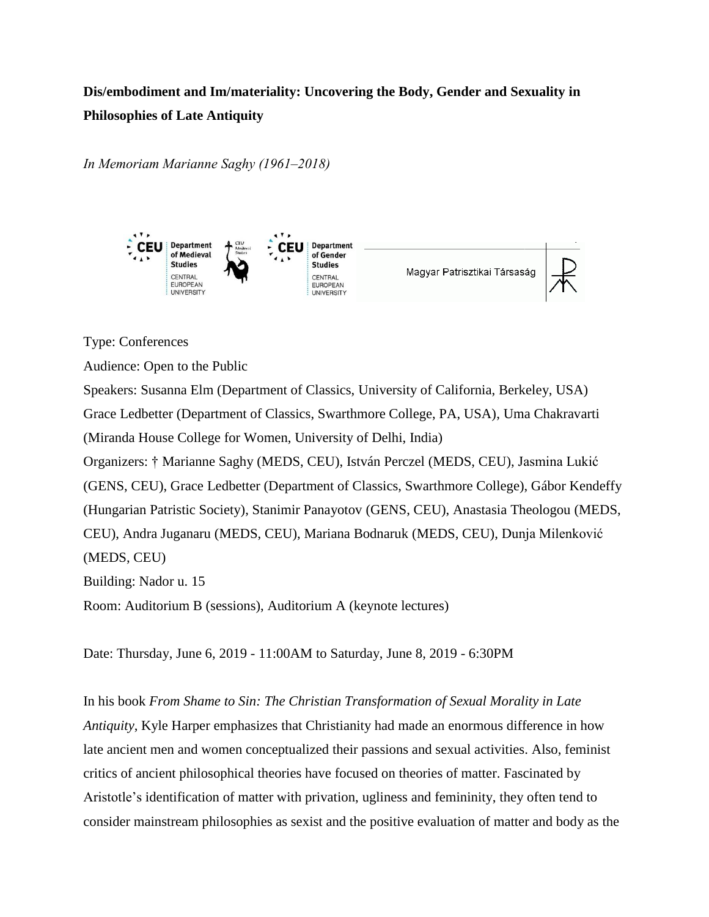## **Dis/embodiment and Im/materiality: Uncovering the Body, Gender and Sexuality in Philosophies of Late Antiquity**

*In Memoriam Marianne Saghy (1961‒2018)*



## Type: Conferences

Audience: Open to the Public

Speakers: Susanna Elm (Department of Classics, University of California, Berkeley, USA) Grace Ledbetter (Department of Classics, Swarthmore College, PA, USA), Uma Chakravarti (Miranda House College for Women, University of Delhi, India) Organizers: † Marianne Saghy (MEDS, CEU), István Perczel (MEDS, CEU), Jasmina Lukić (GENS, CEU), Grace Ledbetter (Department of Classics, Swarthmore College), Gábor Kendeffy (Hungarian Patristic Society), Stanimir Panayotov (GENS, CEU), Anastasia Theologou (MEDS, CEU), Andra Juganaru (MEDS, CEU), Mariana Bodnaruk (MEDS, CEU), Dunja Milenković (MEDS, CEU) Building: Nador u. 15 Room: Auditorium B (sessions), Auditorium A (keynote lectures)

Date: Thursday, June 6, 2019 - 11:00AM to Saturday, June 8, 2019 - 6:30PM

In his book *From Shame to Sin: The Christian Transformation of Sexual Morality in Late Antiquity*, Kyle Harper emphasizes that Christianity had made an enormous difference in how late ancient men and women conceptualized their passions and sexual activities. Also, feminist critics of ancient philosophical theories have focused on theories of matter. Fascinated by Aristotle's identification of matter with privation, ugliness and femininity, they often tend to consider mainstream philosophies as sexist and the positive evaluation of matter and body as the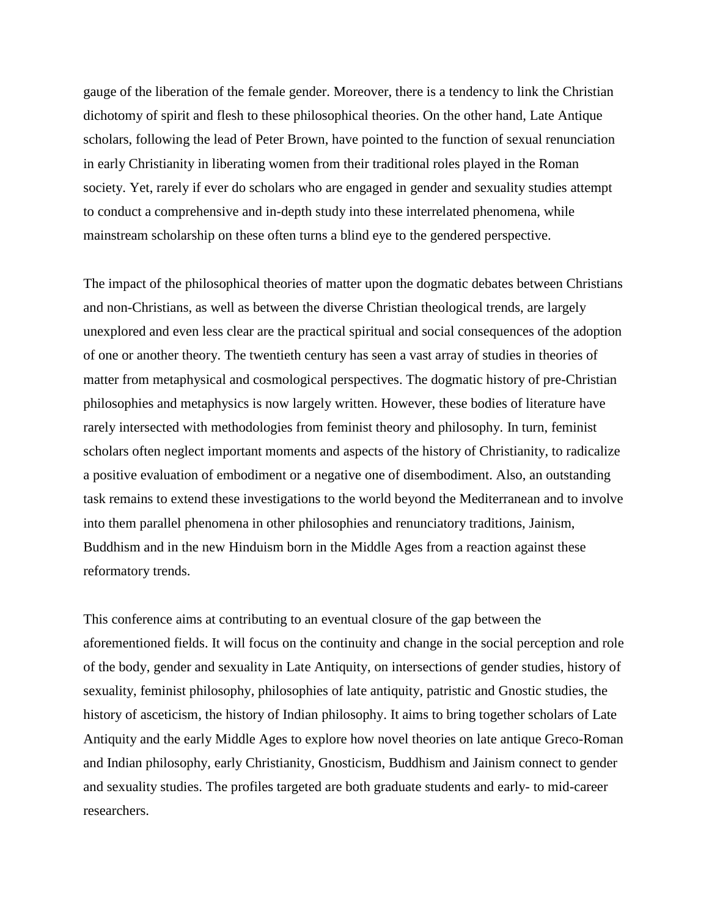gauge of the liberation of the female gender. Moreover, there is a tendency to link the Christian dichotomy of spirit and flesh to these philosophical theories. On the other hand, Late Antique scholars, following the lead of Peter Brown, have pointed to the function of sexual renunciation in early Christianity in liberating women from their traditional roles played in the Roman society. Yet, rarely if ever do scholars who are engaged in gender and sexuality studies attempt to conduct a comprehensive and in-depth study into these interrelated phenomena, while mainstream scholarship on these often turns a blind eye to the gendered perspective.

The impact of the philosophical theories of matter upon the dogmatic debates between Christians and non-Christians, as well as between the diverse Christian theological trends, are largely unexplored and even less clear are the practical spiritual and social consequences of the adoption of one or another theory. The twentieth century has seen a vast array of studies in theories of matter from metaphysical and cosmological perspectives. The dogmatic history of pre-Christian philosophies and metaphysics is now largely written. However, these bodies of literature have rarely intersected with methodologies from feminist theory and philosophy. In turn, feminist scholars often neglect important moments and aspects of the history of Christianity, to radicalize a positive evaluation of embodiment or a negative one of disembodiment. Also, an outstanding task remains to extend these investigations to the world beyond the Mediterranean and to involve into them parallel phenomena in other philosophies and renunciatory traditions, Jainism, Buddhism and in the new Hinduism born in the Middle Ages from a reaction against these reformatory trends.

This conference aims at contributing to an eventual closure of the gap between the aforementioned fields. It will focus on the continuity and change in the social perception and role of the body, gender and sexuality in Late Antiquity, on intersections of gender studies, history of sexuality, feminist philosophy, philosophies of late antiquity, patristic and Gnostic studies, the history of asceticism, the history of Indian philosophy. It aims to bring together scholars of Late Antiquity and the early Middle Ages to explore how novel theories on late antique Greco-Roman and Indian philosophy, early Christianity, Gnosticism, Buddhism and Jainism connect to gender and sexuality studies. The profiles targeted are both graduate students and early- to mid-career researchers.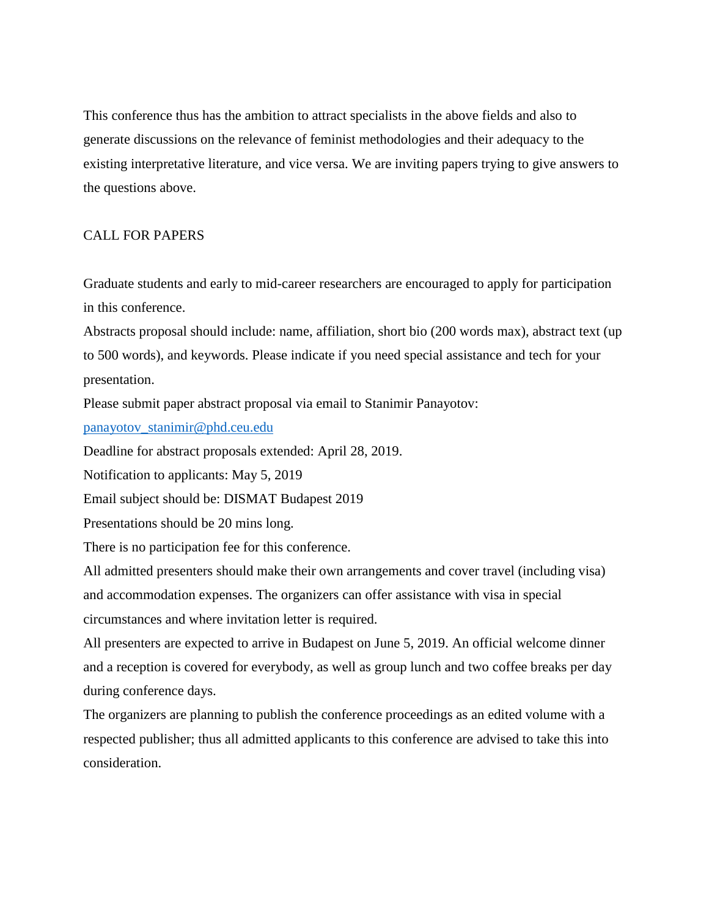This conference thus has the ambition to attract specialists in the above fields and also to generate discussions on the relevance of feminist methodologies and their adequacy to the existing interpretative literature, and vice versa. We are inviting papers trying to give answers to the questions above.

## CALL FOR PAPERS

Graduate students and early to mid-career researchers are encouraged to apply for participation in this conference.

Abstracts proposal should include: name, affiliation, short bio (200 words max), abstract text (up to 500 words), and keywords. Please indicate if you need special assistance and tech for your presentation.

Please submit paper abstract proposal via email to Stanimir Panayotov:

[panayotov\\_stanimir@phd.ceu.edu](mailto:panayotov_stanimir@phd.ceu.edu)

Deadline for abstract proposals extended: April 28, 2019.

Notification to applicants: May 5, 2019

Email subject should be: DISMAT Budapest 2019

Presentations should be 20 mins long.

There is no participation fee for this conference.

All admitted presenters should make their own arrangements and cover travel (including visa) and accommodation expenses. The organizers can offer assistance with visa in special circumstances and where invitation letter is required.

All presenters are expected to arrive in Budapest on June 5, 2019. An official welcome dinner and a reception is covered for everybody, as well as group lunch and two coffee breaks per day during conference days.

The organizers are planning to publish the conference proceedings as an edited volume with a respected publisher; thus all admitted applicants to this conference are advised to take this into consideration.